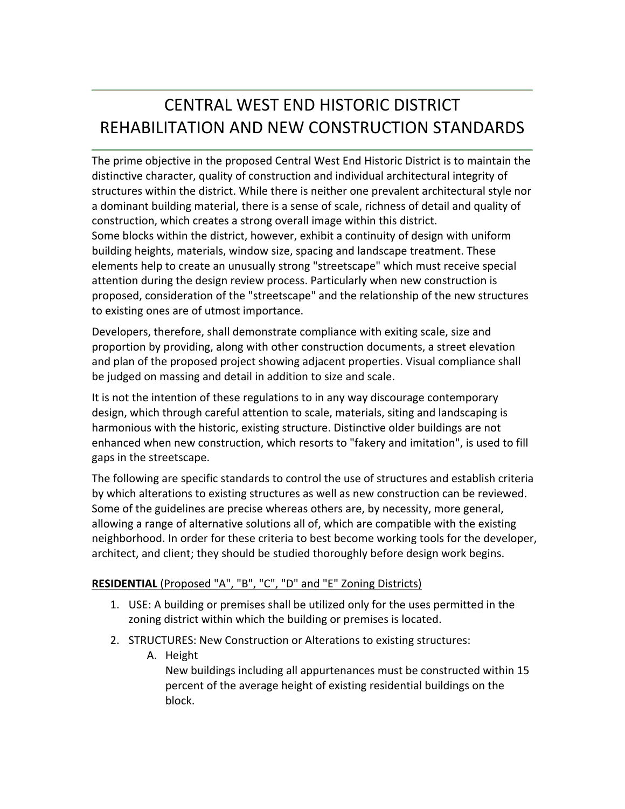# CENTRAL WEST END HISTORIC DISTRICT REHABILITATION AND NEW CONSTRUCTION STANDARDS

The prime objective in the proposed Central West End Historic District is to maintain the distinctive character, quality of construction and individual architectural integrity of structures within the district. While there is neither one prevalent architectural style nor a dominant building material, there is a sense of scale, richness of detail and quality of construction, which creates a strong overall image within this district. Some blocks within the district, however, exhibit a continuity of design with uniform building heights, materials, window size, spacing and landscape treatment. These elements help to create an unusually strong "streetscape" which must receive special attention during the design review process. Particularly when new construction is proposed, consideration of the "streetscape" and the relationship of the new structures to existing ones are of utmost importance.

Developers, therefore, shall demonstrate compliance with exiting scale, size and proportion by providing, along with other construction documents, a street elevation and plan of the proposed project showing adjacent properties. Visual compliance shall be judged on massing and detail in addition to size and scale.

It is not the intention of these regulations to in any way discourage contemporary design, which through careful attention to scale, materials, siting and landscaping is harmonious with the historic, existing structure. Distinctive older buildings are not enhanced when new construction, which resorts to "fakery and imitation", is used to fill gaps in the streetscape.

The following are specific standards to control the use of structures and establish criteria by which alterations to existing structures as well as new construction can be reviewed. Some of the guidelines are precise whereas others are, by necessity, more general, allowing a range of alternative solutions all of, which are compatible with the existing neighborhood. In order for these criteria to best become working tools for the developer, architect, and client; they should be studied thoroughly before design work begins.

### **RESIDENTIAL** (Proposed "A", "B", "C", "D" and "E" Zoning Districts)

- 1. USE: A building or premises shall be utilized only for the uses permitted in the zoning district within which the building or premises is located.
- 2. STRUCTURES: New Construction or Alterations to existing structures:
	- A. Height New buildings including all appurtenances must be constructed within 15 percent of the average height of existing residential buildings on the block.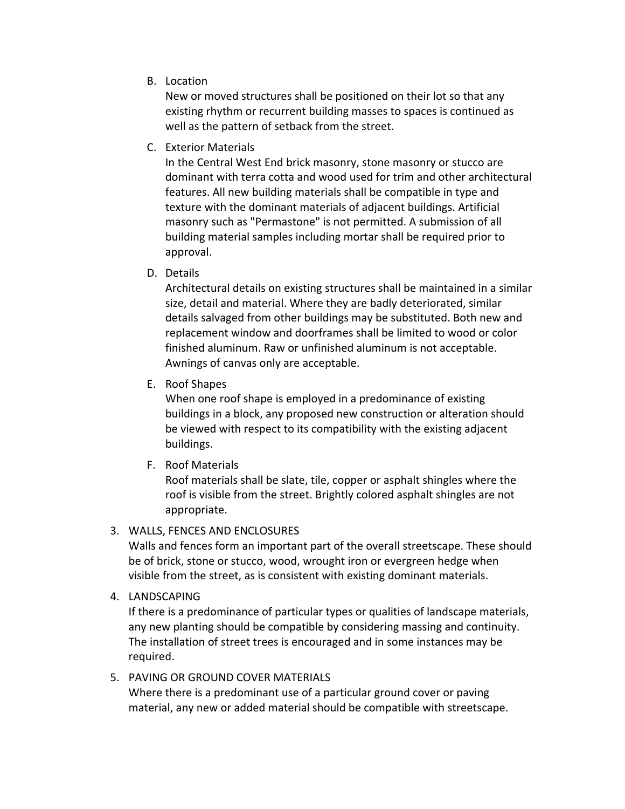B. Location

New or moved structures shall be positioned on their lot so that any existing rhythm or recurrent building masses to spaces is continued as well as the pattern of setback from the street.

C. Exterior Materials

In the Central West End brick masonry, stone masonry or stucco are dominant with terra cotta and wood used for trim and other architectural features. All new building materials shall be compatible in type and texture with the dominant materials of adjacent buildings. Artificial masonry such as "Permastone" is not permitted. A submission of all building material samples including mortar shall be required prior to approval.

D. Details

Architectural details on existing structures shall be maintained in a similar size, detail and material. Where they are badly deteriorated, similar details salvaged from other buildings may be substituted. Both new and replacement window and doorframes shall be limited to wood or color finished aluminum. Raw or unfinished aluminum is not acceptable. Awnings of canvas only are acceptable.

E. Roof Shapes

When one roof shape is employed in a predominance of existing buildings in a block, any proposed new construction or alteration should be viewed with respect to its compatibility with the existing adjacent buildings.

F. Roof Materials

Roof materials shall be slate, tile, copper or asphalt shingles where the roof is visible from the street. Brightly colored asphalt shingles are not appropriate.

### 3. WALLS, FENCES AND ENCLOSURES

Walls and fences form an important part of the overall streetscape. These should be of brick, stone or stucco, wood, wrought iron or evergreen hedge when visible from the street, as is consistent with existing dominant materials.

4. LANDSCAPING

If there is a predominance of particular types or qualities of landscape materials, any new planting should be compatible by considering massing and continuity. The installation of street trees is encouraged and in some instances may be required.

### 5. PAVING OR GROUND COVER MATERIALS

Where there is a predominant use of a particular ground cover or paving material, any new or added material should be compatible with streetscape.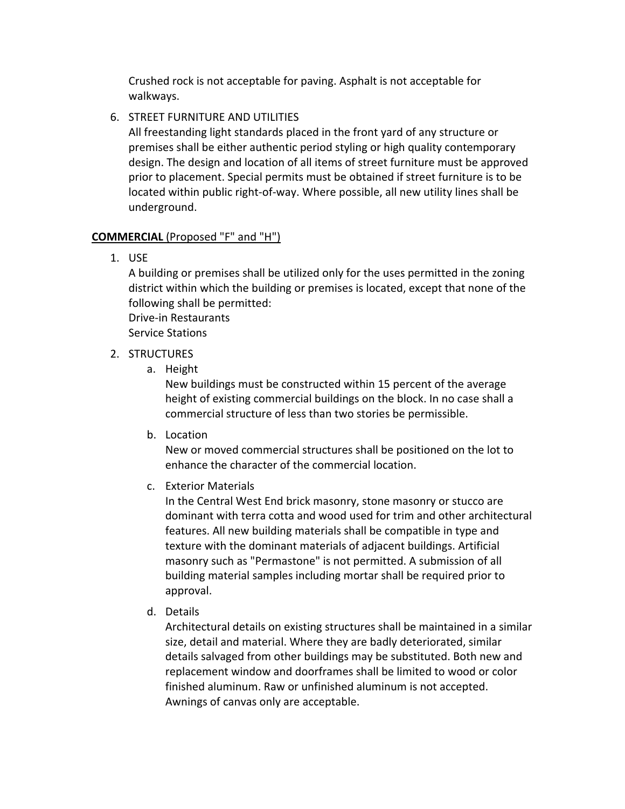Crushed rock is not acceptable for paving. Asphalt is not acceptable for walkways.

## 6. STREET FURNITURE AND UTILITIES

All freestanding light standards placed in the front yard of any structure or premises shall be either authentic period styling or high quality contemporary design. The design and location of all items of street furniture must be approved prior to placement. Special permits must be obtained if street furniture is to be located within public right‐of‐way. Where possible, all new utility lines shall be underground.

### **COMMERCIAL** (Proposed "F" and "H")

1. USE

A building or premises shall be utilized only for the uses permitted in the zoning district within which the building or premises is located, except that none of the following shall be permitted: Drive‐in Restaurants

Service Stations

- 2. STRUCTURES
	- a. Height

New buildings must be constructed within 15 percent of the average height of existing commercial buildings on the block. In no case shall a commercial structure of less than two stories be permissible.

b. Location

New or moved commercial structures shall be positioned on the lot to enhance the character of the commercial location.

c. Exterior Materials

In the Central West End brick masonry, stone masonry or stucco are dominant with terra cotta and wood used for trim and other architectural features. All new building materials shall be compatible in type and texture with the dominant materials of adjacent buildings. Artificial masonry such as "Permastone" is not permitted. A submission of all building material samples including mortar shall be required prior to approval.

d. Details

Architectural details on existing structures shall be maintained in a similar size, detail and material. Where they are badly deteriorated, similar details salvaged from other buildings may be substituted. Both new and replacement window and doorframes shall be limited to wood or color finished aluminum. Raw or unfinished aluminum is not accepted. Awnings of canvas only are acceptable.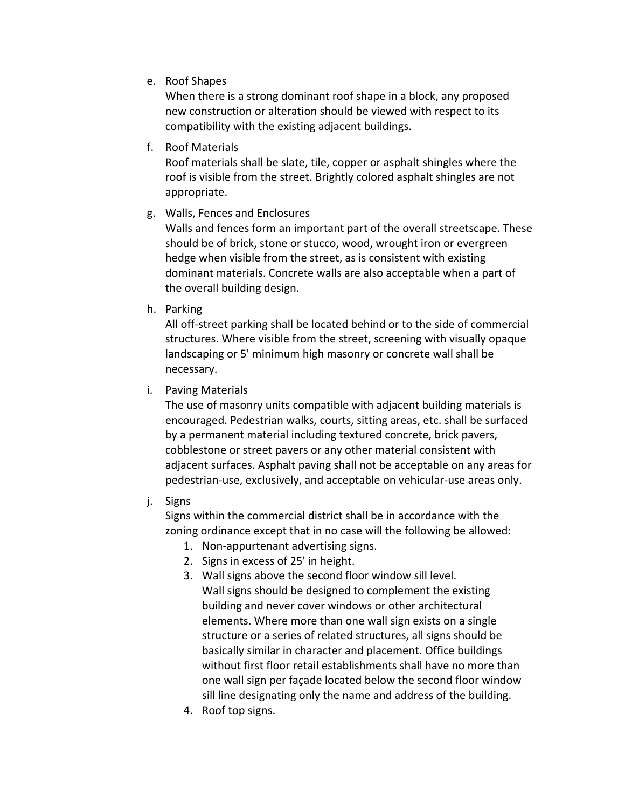e. Roof Shapes

When there is a strong dominant roof shape in a block, any proposed new construction or alteration should be viewed with respect to its compatibility with the existing adjacent buildings.

f. Roof Materials

Roof materials shall be slate, tile, copper or asphalt shingles where the roof is visible from the street. Brightly colored asphalt shingles are not appropriate.

g. Walls, Fences and Enclosures

Walls and fences form an important part of the overall streetscape. These should be of brick, stone or stucco, wood, wrought iron or evergreen hedge when visible from the street, as is consistent with existing dominant materials. Concrete walls are also acceptable when a part of the overall building design.

h. Parking

All off‐street parking shall be located behind or to the side of commercial structures. Where visible from the street, screening with visually opaque landscaping or 5' minimum high masonry or concrete wall shall be necessary.

i. Paving Materials

The use of masonry units compatible with adjacent building materials is encouraged. Pedestrian walks, courts, sitting areas, etc. shall be surfaced by a permanent material including textured concrete, brick pavers, cobblestone or street pavers or any other material consistent with adjacent surfaces. Asphalt paving shall not be acceptable on any areas for pedestrian‐use, exclusively, and acceptable on vehicular‐use areas only.

j. Signs

Signs within the commercial district shall be in accordance with the zoning ordinance except that in no case will the following be allowed:

- 1. Non‐appurtenant advertising signs.
- 2. Signs in excess of 25' in height.
- 3. Wall signs above the second floor window sill level. Wall signs should be designed to complement the existing building and never cover windows or other architectural elements. Where more than one wall sign exists on a single structure or a series of related structures, all signs should be basically similar in character and placement. Office buildings without first floor retail establishments shall have no more than one wall sign per façade located below the second floor window sill line designating only the name and address of the building.
- 4. Roof top signs.